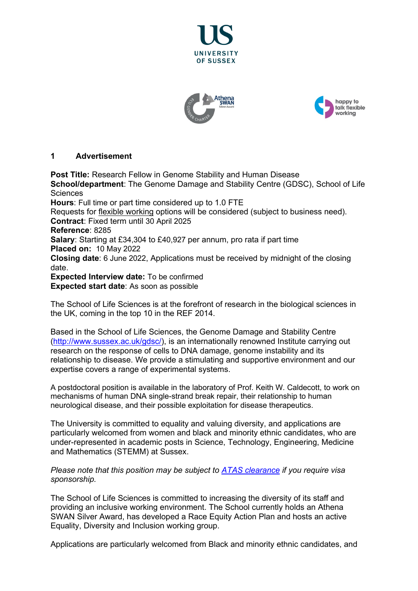





## **1 Advertisement**

**Post Title:** Research Fellow in Genome Stability and Human Disease **School/department**: The Genome Damage and Stability Centre (GDSC), School of Life **Sciences Hours**: Full time or part time considered up to 1.0 FTE Requests for [flexible working](http://www.sussex.ac.uk/humanresources/personnel/flexible-working) options will be considered (subject to business need). **Contract**: Fixed term until 30 April 2025 **Reference**: 8285 **Salary**: Starting at £34,304 to £40,927 per annum, pro rata if part time **Placed on:** 10 May 2022 **Closing date**: 6 June 2022, Applications must be received by midnight of the closing date. **Expected Interview date:** To be confirmed **Expected start date**: As soon as possible

The School of Life Sciences is at the forefront of research in the biological sciences in the UK, coming in the top 10 in the REF 2014.

Based in the School of Life Sciences, the Genome Damage and Stability Centre [\(http://www.sussex.ac.uk/gdsc/\)](http://www.sussex.ac.uk/gdsc/), is an internationally renowned Institute carrying out research on the response of cells to DNA damage, genome instability and its relationship to disease. We provide a stimulating and supportive environment and our expertise covers a range of experimental systems.

A postdoctoral position is available in the laboratory of Prof. Keith W. Caldecott, to work on mechanisms of human DNA single-strand break repair, their relationship to human neurological disease, and their possible exploitation for disease therapeutics.

The University is committed to equality and valuing diversity, and applications are particularly welcomed from women and black and minority ethnic candidates, who are under-represented in academic posts in Science, Technology, Engineering, Medicine and Mathematics (STEMM) at Sussex.

#### *Please note that this position may be subject to [ATAS clearance](https://www.gov.uk/guidance/academic-technology-approval-scheme) if you require visa sponsorship.*

The School of Life Sciences is committed to increasing the diversity of its staff and providing an inclusive working environment. The School currently holds an Athena SWAN Silver Award, has developed a Race Equity Action Plan and hosts an active Equality, Diversity and Inclusion working group.

Applications are particularly welcomed from Black and minority ethnic candidates, and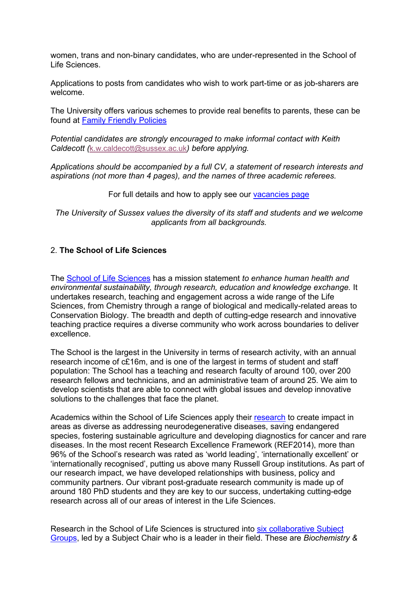women, trans and non-binary candidates, who are under-represented in the School of Life Sciences.

Applications to posts from candidates who wish to work part-time or as job-sharers are welcome.

The University offers various schemes to provide real benefits to parents, these can be found at [Family Friendly Policies](http://www.sussex.ac.uk/humanresources/personnel/familyfriendlypolicies)

*Potential candidates are strongly encouraged to make informal contact with Keith Caldecott (*[k.w.caldecott@sussex.ac.uk](mailto:k.w.caldecott@sussex.ac.uk)*) before applying.* 

*Applications should be accompanied by a full CV, a statement of research interests and aspirations (not more than 4 pages), and the names of three academic referees.* 

For full details and how to apply see our [vacancies page](http://www.sussex.ac.uk/about/jobs)

*The University of Sussex values the diversity of its staff and students and we welcome applicants from all backgrounds.*

# 2. **The School of Life Sciences**

The [School of Life Sciences](http://www.sussex.ac.uk/lifesci/) has a mission statement *to enhance human health and environmental sustainability, through research, education and knowledge exchange.* It undertakes research, teaching and engagement across a wide range of the Life Sciences, from Chemistry through a range of biological and medically-related areas to Conservation Biology. The breadth and depth of cutting-edge research and innovative teaching practice requires a diverse community who work across boundaries to deliver excellence.

The School is the largest in the University in terms of research activity, with an annual research income of c£16m, and is one of the largest in terms of student and staff population: The School has a teaching and research faculty of around 100, over 200 research fellows and technicians, and an administrative team of around 25. We aim to develop scientists that are able to connect with global issues and develop innovative solutions to the challenges that face the planet.

Academics within the School of Life Sciences apply their [research](http://www.sussex.ac.uk/lifesci/research) to create impact in areas as diverse as addressing neurodegenerative diseases, saving endangered species, fostering sustainable agriculture and developing diagnostics for cancer and rare diseases. In the most recent Research Excellence Framework (REF2014), more than 96% of the School's research was rated as 'world leading', 'internationally excellent' or 'internationally recognised', putting us above many Russell Group institutions. As part of our research impact, we have developed relationships with business, policy and community partners. Our vibrant post-graduate research community is made up of around 180 PhD students and they are key to our success, undertaking cutting-edge research across all of our areas of interest in the Life Sciences.

Research in the School of Life Sciences is structured into [six collaborative Subject](http://www.sussex.ac.uk/lifesci/)  [Groups,](http://www.sussex.ac.uk/lifesci/) led by a Subject Chair who is a leader in their field. These are *Biochemistry &*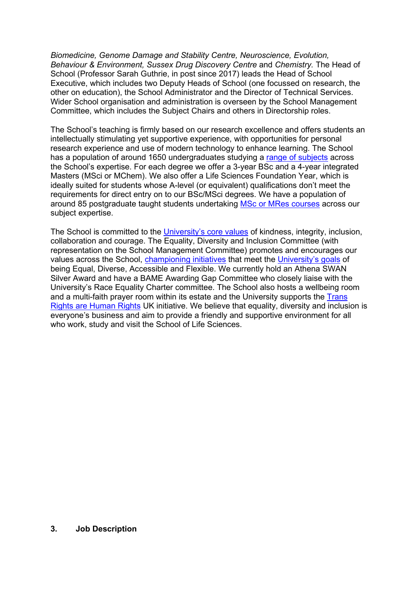*Biomedicine, Genome Damage and Stability Centre, Neuroscience, Evolution, Behaviour & Environment, Sussex Drug Discovery Centre* and *Chemistry.* The Head of School (Professor Sarah Guthrie, in post since 2017) leads the Head of School Executive, which includes two Deputy Heads of School (one focussed on research, the other on education), the School Administrator and the Director of Technical Services. Wider School organisation and administration is overseen by the School Management Committee, which includes the Subject Chairs and others in Directorship roles.

The School's teaching is firmly based on our research excellence and offers students an intellectually stimulating yet supportive experience, with opportunities for personal research experience and use of modern technology to enhance learning. The School has a population of around 1650 undergraduates studying a [range of subjects](http://www.sussex.ac.uk/lifesci/ugstudy) across the School's expertise. For each degree we offer a 3-year BSc and a 4-year integrated Masters (MSci or MChem). We also offer a Life Sciences Foundation Year, which is ideally suited for students whose A-level (or equivalent) qualifications don't meet the requirements for direct entry on to our BSc/MSci degrees. We have a population of around 85 postgraduate taught students undertaking [MSc or MRes courses](http://www.sussex.ac.uk/lifesci/pgstudy) across our subject expertise.

The School is committed to the [University's core values](https://www.sussex.ac.uk/strategy/) of kindness, integrity, inclusion, collaboration and courage. The Equality, Diversity and Inclusion Committee (with representation on the School Management Committee) promotes and encourages our values across the School, [championing initiatives](http://www.sussex.ac.uk/lifesci/equality-diversity-and-inclusion/) that meet the [University's goals](https://www.sussex.ac.uk/equalities/strategy) of being Equal, Diverse, Accessible and Flexible. We currently hold an Athena SWAN Silver Award and have a BAME Awarding Gap Committee who closely liaise with the University's Race Equality Charter committee. The School also hosts a wellbeing room and a multi-faith prayer room within its estate and the University supports the Trans [Rights are Human Rights](https://www.sussex.ac.uk/news/university?id=52962) UK initiative. We believe that equality, diversity and inclusion is everyone's business and aim to provide a friendly and supportive environment for all who work, study and visit the School of Life Sciences.

#### **3. Job Description**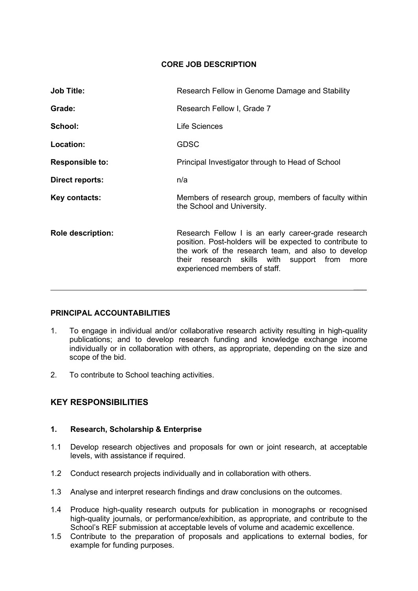## **CORE JOB DESCRIPTION**

| <b>Job Title:</b>        | Research Fellow in Genome Damage and Stability                                                                                                                                                                                                            |
|--------------------------|-----------------------------------------------------------------------------------------------------------------------------------------------------------------------------------------------------------------------------------------------------------|
| Grade:                   | Research Fellow I, Grade 7                                                                                                                                                                                                                                |
| School:                  | Life Sciences                                                                                                                                                                                                                                             |
| Location:                | <b>GDSC</b>                                                                                                                                                                                                                                               |
| <b>Responsible to:</b>   | Principal Investigator through to Head of School                                                                                                                                                                                                          |
| Direct reports:          | n/a                                                                                                                                                                                                                                                       |
| Key contacts:            | Members of research group, members of faculty within<br>the School and University.                                                                                                                                                                        |
| <b>Role description:</b> | Research Fellow I is an early career-grade research<br>position. Post-holders will be expected to contribute to<br>the work of the research team, and also to develop<br>their research skills with support from<br>more<br>experienced members of staff. |

#### **PRINCIPAL ACCOUNTABILITIES**

- 1. To engage in individual and/or collaborative research activity resulting in high-quality publications; and to develop research funding and knowledge exchange income individually or in collaboration with others, as appropriate, depending on the size and scope of the bid.
- 2. To contribute to School teaching activities.

# **KEY RESPONSIBILITIES**

### **1. Research, Scholarship & Enterprise**

- 1.1 Develop research objectives and proposals for own or joint research, at acceptable levels, with assistance if required.
- 1.2 Conduct research projects individually and in collaboration with others.
- 1.3 Analyse and interpret research findings and draw conclusions on the outcomes.
- 1.4 Produce high-quality research outputs for publication in monographs or recognised high-quality journals, or performance/exhibition, as appropriate, and contribute to the School's REF submission at acceptable levels of volume and academic excellence.
- 1.5 Contribute to the preparation of proposals and applications to external bodies, for example for funding purposes.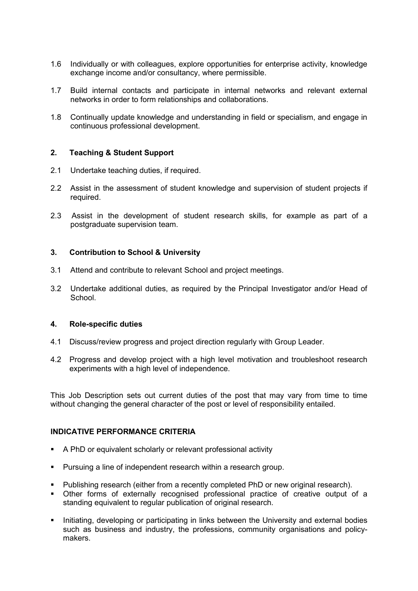- 1.6 Individually or with colleagues, explore opportunities for enterprise activity, knowledge exchange income and/or consultancy, where permissible.
- 1.7 Build internal contacts and participate in internal networks and relevant external networks in order to form relationships and collaborations.
- 1.8 Continually update knowledge and understanding in field or specialism, and engage in continuous professional development.

#### **2. Teaching & Student Support**

- 2.1 Undertake teaching duties, if required.
- 2.2 Assist in the assessment of student knowledge and supervision of student projects if required.
- 2.3 Assist in the development of student research skills, for example as part of a postgraduate supervision team.

#### **3. Contribution to School & University**

- 3.1 Attend and contribute to relevant School and project meetings.
- 3.2 Undertake additional duties, as required by the Principal Investigator and/or Head of School.

#### **4. Role-specific duties**

- 4.1 Discuss/review progress and project direction regularly with Group Leader.
- 4.2 Progress and develop project with a high level motivation and troubleshoot research experiments with a high level of independence.

This Job Description sets out current duties of the post that may vary from time to time without changing the general character of the post or level of responsibility entailed.

#### **INDICATIVE PERFORMANCE CRITERIA**

- A PhD or equivalent scholarly or relevant professional activity
- Pursuing a line of independent research within a research group.
- **Publishing research (either from a recently completed PhD or new original research).**
- Other forms of externally recognised professional practice of creative output of a standing equivalent to regular publication of original research.
- **Initiating, developing or participating in links between the University and external bodies** such as business and industry, the professions, community organisations and policymakers.